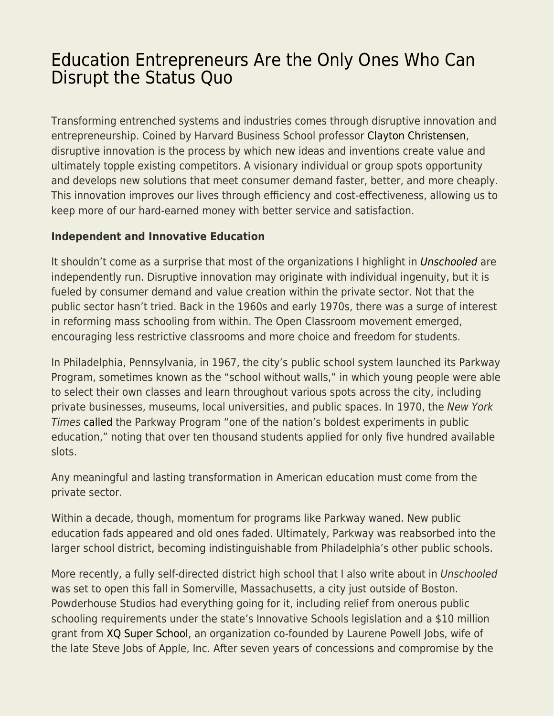# [Education Entrepreneurs Are the Only Ones Who Can](https://everything-voluntary.com/education-entrepreneurs-are-the-only-ones-who-can-disrupt-the-status-quo) [Disrupt the Status Quo](https://everything-voluntary.com/education-entrepreneurs-are-the-only-ones-who-can-disrupt-the-status-quo)

Transforming entrenched systems and industries comes through disruptive innovation and entrepreneurship. Coined by Harvard Business School professor [Clayton Christensen](https://en.wikipedia.org/wiki/Clayton_M._Christensen), disruptive innovation is the process by which new ideas and inventions create value and ultimately topple existing competitors. A visionary individual or group spots opportunity and develops new solutions that meet consumer demand faster, better, and more cheaply. This innovation improves our lives through efficiency and cost-effectiveness, allowing us to keep more of our hard-earned money with better service and satisfaction.

### **Independent and Innovative Education**

It shouldn't come as a surprise that most of the organizations I highlight in [Unschooled](https://amzn.to/2E4CLzE) are independently run. Disruptive innovation may originate with individual ingenuity, but it is fueled by consumer demand and value creation within the private sector. Not that the public sector hasn't tried. Back in the 1960s and early 1970s, there was a surge of interest in reforming mass schooling from within. The Open Classroom movement emerged, encouraging less restrictive classrooms and more choice and freedom for students.

In Philadelphia, Pennsylvania, in 1967, the city's public school system launched its Parkway Program, sometimes known as the "school without walls," in which young people were able to select their own classes and learn throughout various spots across the city, including private businesses, museums, local universities, and public spaces. In 1970, the New York Times [called](https://www.nytimes.com/1970/01/23/archives/students-flock-to-philadelphia-school-without-walls.html?_r=0) the Parkway Program "one of the nation's boldest experiments in public education," noting that over ten thousand students applied for only five hundred available slots.

Any meaningful and lasting transformation in American education must come from the private sector.

Within a decade, though, momentum for programs like Parkway waned. New public education fads appeared and old ones faded. Ultimately, Parkway was reabsorbed into the larger school district, becoming indistinguishable from Philadelphia's other public schools.

More recently, a fully self-directed district high school that I also write about in Unschooled was set to open this fall in Somerville, Massachusetts, a city just outside of Boston. Powderhouse Studios had everything going for it, including relief from onerous public schooling requirements under the state's Innovative Schools legislation and a \$10 million grant from [XQ Super School](https://xqsuperschool.org/), an organization co-founded by Laurene Powell Jobs, wife of the late Steve Jobs of Apple, Inc. After seven years of concessions and compromise by the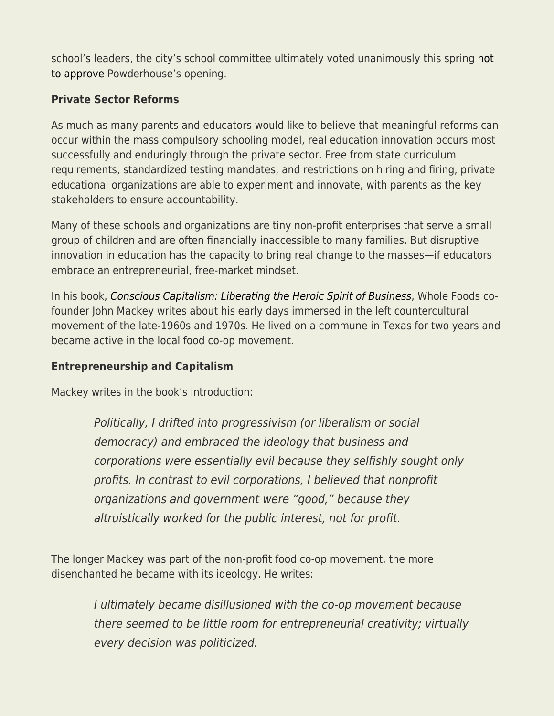school's leaders, the city's school committee ultimately voted unanimously this spring [not](https://somerville.wickedlocal.com/news/20190319/school-committee-votes-unanimously-against-powderhouse-studios) [to approve](https://somerville.wickedlocal.com/news/20190319/school-committee-votes-unanimously-against-powderhouse-studios) Powderhouse's opening.

## **Private Sector Reforms**

As much as many parents and educators would like to believe that meaningful reforms can occur within the mass compulsory schooling model, real education innovation occurs most successfully and enduringly through the private sector. Free from state curriculum requirements, standardized testing mandates, and restrictions on hiring and firing, private educational organizations are able to experiment and innovate, with parents as the key stakeholders to ensure accountability.

Many of these schools and organizations are tiny non-profit enterprises that serve a small group of children and are often financially inaccessible to many families. But disruptive innovation in education has the capacity to bring real change to the masses—if educators embrace an entrepreneurial, free-market mindset.

In his book, [Conscious Capitalism: Liberating the Heroic Spirit of Business](http://www.amazon.com/Conscious-Capitalism-New-Preface-Authors/dp/1625271751), Whole Foods cofounder John Mackey writes about his early days immersed in the left countercultural movement of the late-1960s and 1970s. He lived on a commune in Texas for two years and became active in the local food co-op movement.

### **Entrepreneurship and Capitalism**

Mackey writes in the book's introduction:

Politically, I drifted into progressivism (or liberalism or social democracy) and embraced the ideology that business and corporations were essentially evil because they selfishly sought only profits. In contrast to evil corporations, I believed that nonprofit organizations and government were "good," because they altruistically worked for the public interest, not for profit.

The longer Mackey was part of the non-profit food co-op movement, the more disenchanted he became with its ideology. He writes:

> I ultimately became disillusioned with the co-op movement because there seemed to be little room for entrepreneurial creativity; virtually every decision was politicized.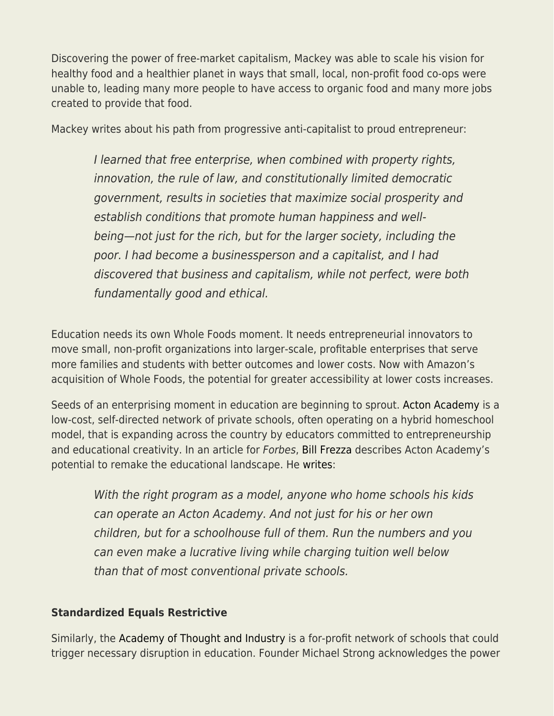Discovering the power of free-market capitalism, Mackey was able to scale his vision for healthy food and a healthier planet in ways that small, local, non-profit food co-ops were unable to, leading many more people to have access to organic food and many more jobs created to provide that food.

Mackey writes about his path from progressive anti-capitalist to proud entrepreneur:

I learned that free enterprise, when combined with property rights, innovation, the rule of law, and constitutionally limited democratic government, results in societies that maximize social prosperity and establish conditions that promote human happiness and wellbeing—not just for the rich, but for the larger society, including the poor. I had become a businessperson and a capitalist, and I had discovered that business and capitalism, while not perfect, were both fundamentally good and ethical.

Education needs its own Whole Foods moment. It needs entrepreneurial innovators to move small, non-profit organizations into larger-scale, profitable enterprises that serve more families and students with better outcomes and lower costs. Now with Amazon's acquisition of Whole Foods, the potential for greater accessibility at lower costs increases.

Seeds of an enterprising moment in education are beginning to sprout. [Acton Academy](https://www.actonacademy.org/) is a low-cost, self-directed network of private schools, often operating on a hybrid homeschool model, that is expanding across the country by educators committed to entrepreneurship and educational creativity. In an article for Forbes, [Bill Frezza](https://fee.org/people/bill-frezza/) describes Acton Academy's potential to remake the educational landscape. He [writes:](https://www.forbes.com/sites/billfrezza/2014/02/28/acton-academy-socrates-antidote-for-government-school-hemlock/#370dcae04aeb)

With the right program as a model, anyone who home schools his kids can operate an Acton Academy. And not just for his or her own children, but for a schoolhouse full of them. Run the numbers and you can even make a lucrative living while charging tuition well below than that of most conventional private schools.

## **Standardized Equals Restrictive**

Similarly, the [Academy of Thought and Industry](https://thoughtandindustry.com/) is a for-profit network of schools that could trigger necessary disruption in education. Founder Michael Strong acknowledges the power